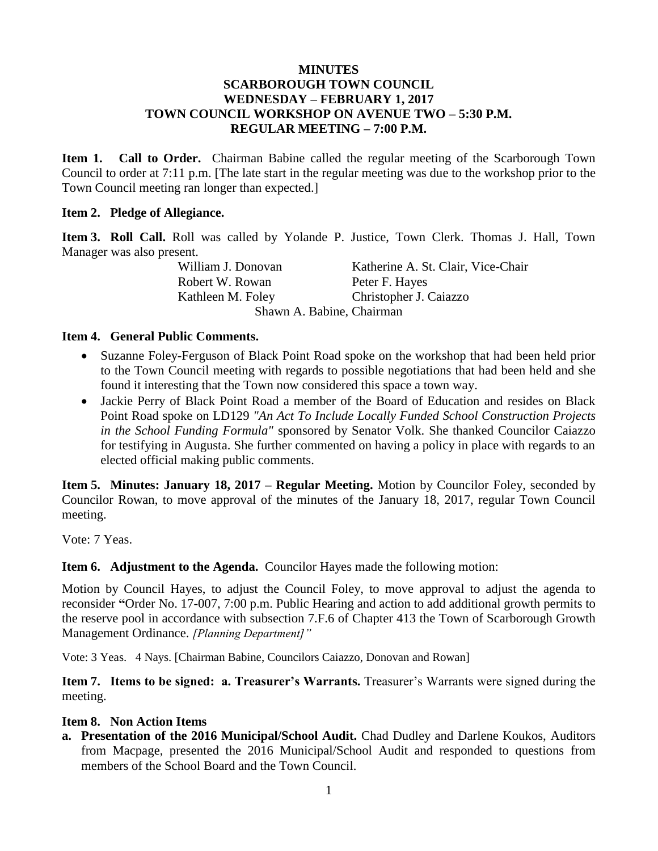### **MINUTES SCARBOROUGH TOWN COUNCIL WEDNESDAY – FEBRUARY 1, 2017 TOWN COUNCIL WORKSHOP ON AVENUE TWO – 5:30 P.M. REGULAR MEETING – 7:00 P.M.**

**Item 1. Call to Order.** Chairman Babine called the regular meeting of the Scarborough Town Council to order at 7:11 p.m. [The late start in the regular meeting was due to the workshop prior to the Town Council meeting ran longer than expected.]

### **Item 2. Pledge of Allegiance.**

**Item 3. Roll Call.** Roll was called by Yolande P. Justice, Town Clerk. Thomas J. Hall, Town Manager was also present.

Robert W. Rowan Peter F. Hayes

William J. Donovan Katherine A. St. Clair, Vice-Chair Kathleen M. Foley Christopher J. Caiazzo

Shawn A. Babine, Chairman

### **Item 4. General Public Comments.**

- Suzanne Foley-Ferguson of Black Point Road spoke on the workshop that had been held prior to the Town Council meeting with regards to possible negotiations that had been held and she found it interesting that the Town now considered this space a town way.
- Jackie Perry of Black Point Road a member of the Board of Education and resides on Black Point Road spoke on LD129 *"An Act To Include Locally Funded School Construction Projects in the School Funding Formula"* sponsored by Senator Volk. She thanked Councilor Caiazzo for testifying in Augusta. She further commented on having a policy in place with regards to an elected official making public comments.

**Item 5. Minutes: January 18, 2017 – Regular Meeting.** Motion by Councilor Foley, seconded by Councilor Rowan, to move approval of the minutes of the January 18, 2017, regular Town Council meeting.

Vote: 7 Yeas.

### **Item 6. Adjustment to the Agenda.** Councilor Hayes made the following motion:

Motion by Council Hayes, to adjust the Council Foley, to move approval to adjust the agenda to reconsider **"**Order No. 17-007, 7:00 p.m. Public Hearing and action to add additional growth permits to the reserve pool in accordance with subsection 7.F.6 of Chapter 413 the Town of Scarborough Growth Management Ordinance. *[Planning Department]"*

Vote: 3 Yeas. 4 Nays. [Chairman Babine, Councilors Caiazzo, Donovan and Rowan]

**Item 7. Items to be signed: a. Treasurer's Warrants.** Treasurer's Warrants were signed during the meeting.

#### **Item 8. Non Action Items**

**a. Presentation of the 2016 Municipal/School Audit.** Chad Dudley and Darlene Koukos, Auditors from Macpage, presented the 2016 Municipal/School Audit and responded to questions from members of the School Board and the Town Council.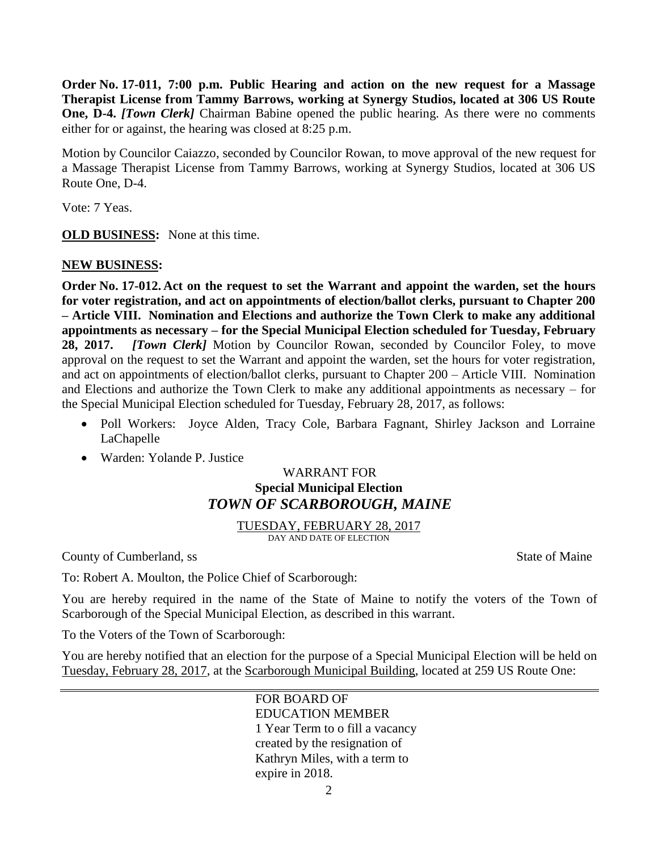**Order No. 17-011, 7:00 p.m. Public Hearing and action on the new request for a Massage Therapist License from Tammy Barrows, working at Synergy Studios, located at 306 US Route One, D-4.** *[Town Clerk]* Chairman Babine opened the public hearing. As there were no comments either for or against, the hearing was closed at 8:25 p.m.

Motion by Councilor Caiazzo, seconded by Councilor Rowan, to move approval of the new request for a Massage Therapist License from Tammy Barrows, working at Synergy Studios, located at 306 US Route One, D-4.

Vote: 7 Yeas.

**OLD BUSINESS:** None at this time.

# **NEW BUSINESS:**

**Order No. 17-012. Act on the request to set the Warrant and appoint the warden, set the hours for voter registration, and act on appointments of election/ballot clerks, pursuant to Chapter 200 – Article VIII. Nomination and Elections and authorize the Town Clerk to make any additional appointments as necessary – for the Special Municipal Election scheduled for Tuesday, February 28, 2017.** *[Town Clerk]* Motion by Councilor Rowan, seconded by Councilor Foley, to move approval on the request to set the Warrant and appoint the warden, set the hours for voter registration, and act on appointments of election/ballot clerks, pursuant to Chapter 200 – Article VIII. Nomination and Elections and authorize the Town Clerk to make any additional appointments as necessary – for the Special Municipal Election scheduled for Tuesday, February 28, 2017, as follows:

- Poll Workers: Joyce Alden, Tracy Cole, Barbara Fagnant, Shirley Jackson and Lorraine LaChapelle
- Warden: Yolande P. Justice

# WARRANT FOR **Special Municipal Election** *TOWN OF SCARBOROUGH, MAINE*

TUESDAY, FEBRUARY 28, 2017 DAY AND DATE OF ELECTION

County of Cumberland, ss State of Maine

To: Robert A. Moulton, the Police Chief of Scarborough:

You are hereby required in the name of the State of Maine to notify the voters of the Town of Scarborough of the Special Municipal Election, as described in this warrant.

To the Voters of the Town of Scarborough:

You are hereby notified that an election for the purpose of a Special Municipal Election will be held on Tuesday, February 28, 2017, at the Scarborough Municipal Building, located at 259 US Route One: ֪ׅ֚֞֬֝֬֝֬֝֬֝֬֝֬֝֬֝֬֝֬֝֬֝֬֝֬֝֬֝֬֝֬֝

> FOR BOARD OF EDUCATION MEMBER 1 Year Term to o fill a vacancy created by the resignation of Kathryn Miles, with a term to expire in 2018.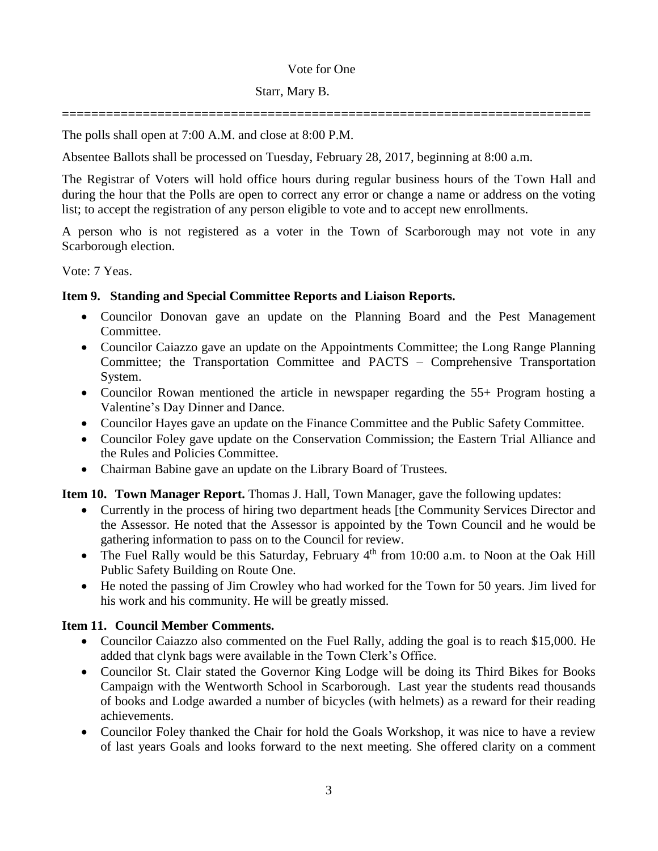### Vote for One

# Starr, Mary B.

**========================================================================**

The polls shall open at 7:00 A.M. and close at 8:00 P.M.

Absentee Ballots shall be processed on Tuesday, February 28, 2017, beginning at 8:00 a.m.

The Registrar of Voters will hold office hours during regular business hours of the Town Hall and during the hour that the Polls are open to correct any error or change a name or address on the voting list; to accept the registration of any person eligible to vote and to accept new enrollments.

A person who is not registered as a voter in the Town of Scarborough may not vote in any Scarborough election.

Vote: 7 Yeas.

# **Item 9. Standing and Special Committee Reports and Liaison Reports.**

- Councilor Donovan gave an update on the Planning Board and the Pest Management Committee.
- Councilor Caiazzo gave an update on the Appointments Committee; the Long Range Planning Committee; the Transportation Committee and PACTS – Comprehensive Transportation System.
- Councilor Rowan mentioned the article in newspaper regarding the 55+ Program hosting a Valentine's Day Dinner and Dance.
- Councilor Hayes gave an update on the Finance Committee and the Public Safety Committee.
- Councilor Foley gave update on the Conservation Commission; the Eastern Trial Alliance and the Rules and Policies Committee.
- Chairman Babine gave an update on the Library Board of Trustees.

# **Item 10. Town Manager Report.** Thomas J. Hall, Town Manager, gave the following updates:

- Currently in the process of hiring two department heads [the Community Services Director and the Assessor. He noted that the Assessor is appointed by the Town Council and he would be gathering information to pass on to the Council for review.
- The Fuel Rally would be this Saturday, February  $4<sup>th</sup>$  from 10:00 a.m. to Noon at the Oak Hill Public Safety Building on Route One.
- He noted the passing of Jim Crowley who had worked for the Town for 50 years. Jim lived for his work and his community. He will be greatly missed.

# **Item 11. Council Member Comments.**

- Councilor Caiazzo also commented on the Fuel Rally, adding the goal is to reach \$15,000. He added that clynk bags were available in the Town Clerk's Office.
- Councilor St. Clair stated the Governor King Lodge will be doing its Third Bikes for Books Campaign with the Wentworth School in Scarborough. Last year the students read thousands of books and Lodge awarded a number of bicycles (with helmets) as a reward for their reading achievements.
- Councilor Foley thanked the Chair for hold the Goals Workshop, it was nice to have a review of last years Goals and looks forward to the next meeting. She offered clarity on a comment